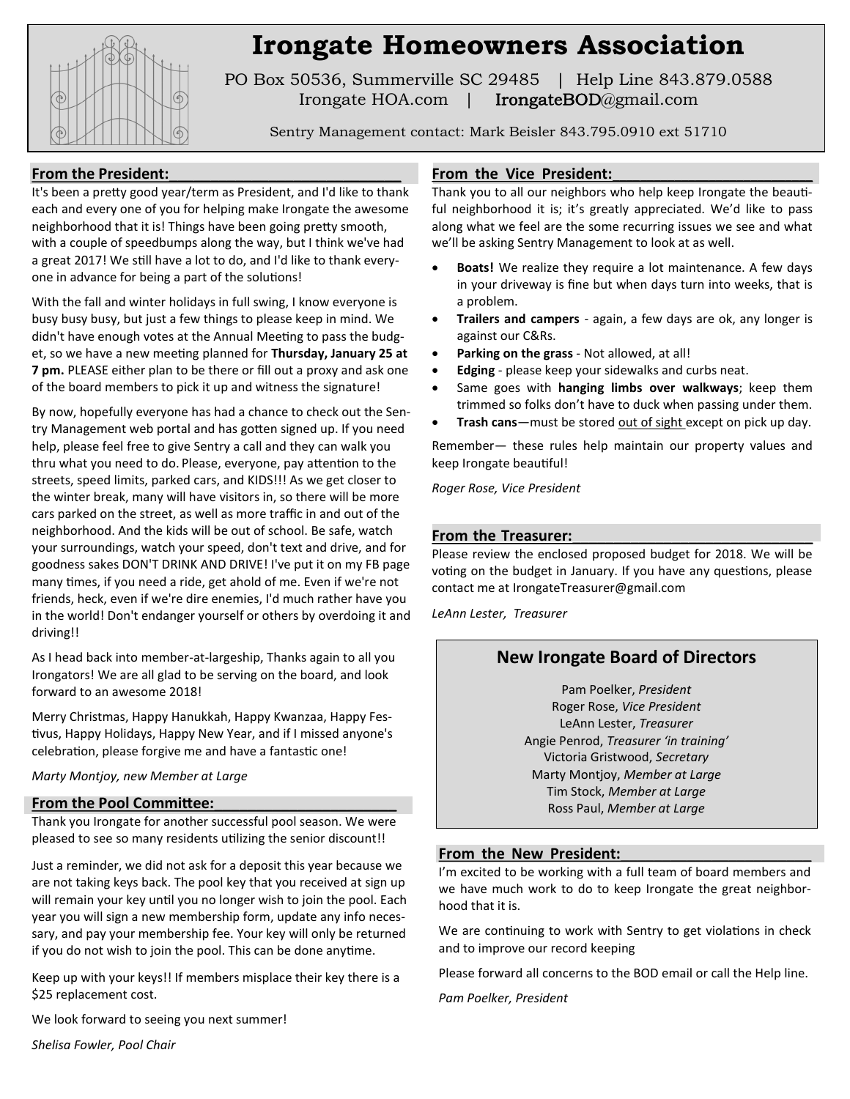

# **Irongate Homeowners Association**

PO Box 50536, Summerville SC 29485 | Help Line 843.879.0588 Irongate HOA.com | IrongateBOD@gmail.com

Sentry Management contact: Mark Beisler 843.795.0910 ext 51710

## From the President:

It's been a pretty good year/term as President, and I'd like to thank each and every one of you for helping make Irongate the awesome neighborhood that it is! Things have been going pretty smooth, with a couple of speedbumps along the way, but I think we've had a great 2017! We still have a lot to do, and I'd like to thank everyone in advance for being a part of the solutions!

With the fall and winter holidays in full swing, I know everyone is busy busy busy, but just a few things to please keep in mind. We didn't have enough votes at the Annual Meeting to pass the budget, so we have a new meeting planned for **Thursday, January 25 at 7 pm.** PLEASE either plan to be there or fill out a proxy and ask one of the board members to pick it up and witness the signature!

By now, hopefully everyone has had a chance to check out the Sentry Management web portal and has gotten signed up. If you need help, please feel free to give Sentry a call and they can walk you thru what you need to do. Please, everyone, pay attention to the streets, speed limits, parked cars, and KIDS!!! As we get closer to the winter break, many will have visitors in, so there will be more cars parked on the street, as well as more traffic in and out of the neighborhood. And the kids will be out of school. Be safe, watch your surroundings, watch your speed, don't text and drive, and for goodness sakes DON'T DRINK AND DRIVE! I've put it on my FB page many times, if you need a ride, get ahold of me. Even if we're not friends, heck, even if we're dire enemies, I'd much rather have you in the world! Don't endanger yourself or others by overdoing it and driving!!

As I head back into member-at-largeship, Thanks again to all you Irongators! We are all glad to be serving on the board, and look forward to an awesome 2018!

Merry Christmas, Happy Hanukkah, Happy Kwanzaa, Happy Festivus, Happy Holidays, Happy New Year, and if I missed anyone's celebration, please forgive me and have a fantastic one!

*Marty Montjoy, new Member at Large*

#### **From the Pool Committee:**\_\_\_\_\_\_\_\_\_\_\_\_\_\_\_\_\_\_\_\_\_\_

Thank you Irongate for another successful pool season. We were pleased to see so many residents utilizing the senior discount!!

Just a reminder, we did not ask for a deposit this year because we are not taking keys back. The pool key that you received at sign up will remain your key until you no longer wish to join the pool. Each year you will sign a new membership form, update any info necessary, and pay your membership fee. Your key will only be returned if you do not wish to join the pool. This can be done anytime.

Keep up with your keys!! If members misplace their key there is a \$25 replacement cost.

We look forward to seeing you next summer!

*Shelisa Fowler, Pool Chair* 

### From the Vice President:

Thank you to all our neighbors who help keep Irongate the beautiful neighborhood it is; it's greatly appreciated. We'd like to pass along what we feel are the some recurring issues we see and what we'll be asking Sentry Management to look at as well.

- **Boats!** We realize they require a lot maintenance. A few days in your driveway is fine but when days turn into weeks, that is a problem.
- **Trailers and campers**  again, a few days are ok, any longer is against our C&Rs.
- **Parking on the grass**  Not allowed, at all!
- **Edging** please keep your sidewalks and curbs neat.
- Same goes with **hanging limbs over walkways**; keep them trimmed so folks don't have to duck when passing under them.
- **Trash cans**—must be stored out of sight except on pick up day.

Remember— these rules help maintain our property values and keep Irongate beautiful!

*Roger Rose, Vice President*

#### From the Treasurer:

Please review the enclosed proposed budget for 2018. We will be voting on the budget in January. If you have any questions, please contact me at IrongateTreasurer@gmail.com

*LeAnn Lester, Treasurer*

# **New Irongate Board of Directors**

Pam Poelker, *President* Roger Rose, *Vice President* LeAnn Lester, *Treasurer* Angie Penrod, *Treasurer 'in training'* Victoria Gristwood, *Secretary* Marty Montjoy, *Member at Large* Tim Stock, *Member at Large* Ross Paul, *Member at Large*

#### From the New President:

I'm excited to be working with a full team of board members and we have much work to do to keep Irongate the great neighborhood that it is.

We are continuing to work with Sentry to get violations in check and to improve our record keeping

Please forward all concerns to the BOD email or call the Help line.

*Pam Poelker, President*